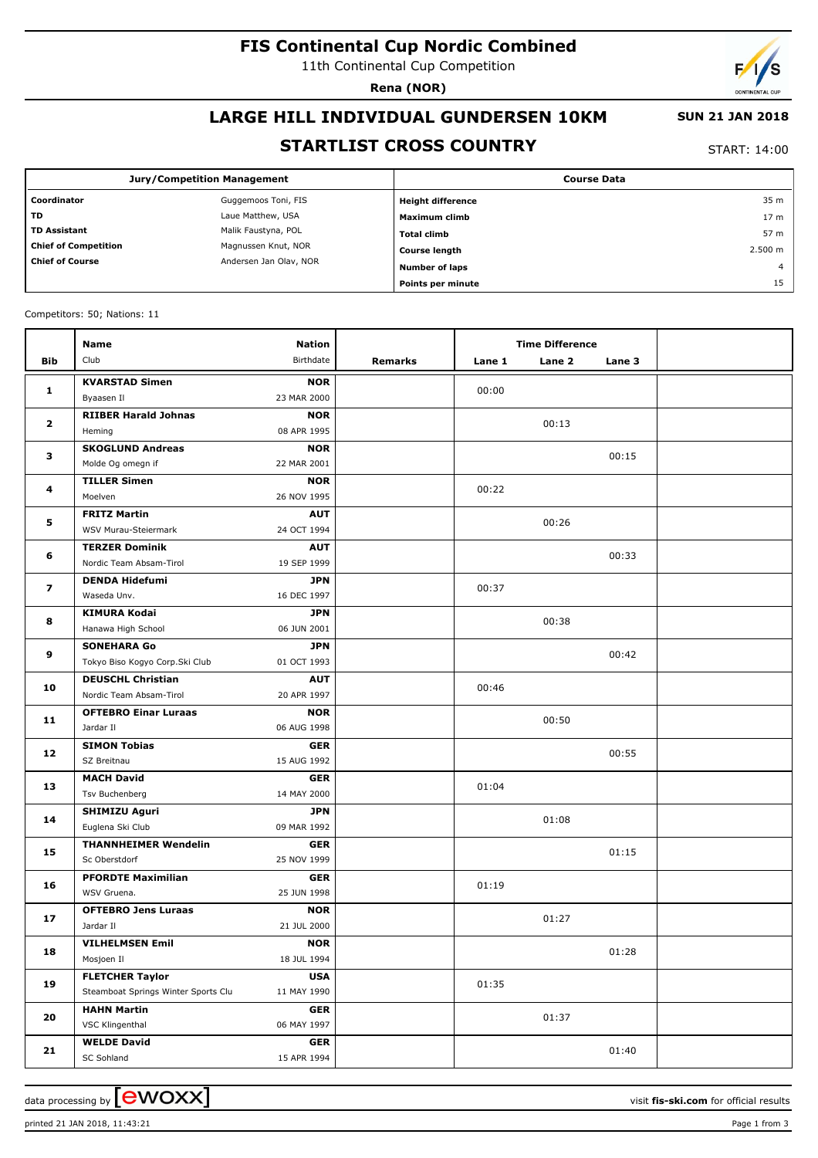# **FIS Continental Cup Nordic Combined**

11th Continental Cup Competition

**Rena (NOR)**

# **LARGE HILL INDIVIDUAL GUNDERSEN 10KM**

## **SUN 21 JAN 2018**

## **STARTLIST CROSS COUNTRY**

START: 14:00

|                                                  | <b>Jury/Competition Management</b> | <b>Course Data</b>       |                 |  |  |
|--------------------------------------------------|------------------------------------|--------------------------|-----------------|--|--|
| Coordinator                                      | Guggemoos Toni, FIS                | <b>Height difference</b> | 35 m            |  |  |
| <b>TD</b>                                        | Laue Matthew, USA                  | Maximum climb            | 17 <sub>m</sub> |  |  |
| <b>TD Assistant</b>                              | Malik Faustyna, POL                | <b>Total climb</b>       | 57 m            |  |  |
| <b>Chief of Competition</b>                      | Magnussen Knut, NOR                | <b>Course length</b>     | 2.500 m         |  |  |
| <b>Chief of Course</b><br>Andersen Jan Olav, NOR | <b>Number of laps</b>              | $\overline{4}$           |                 |  |  |
|                                                  |                                    | Points per minute        | 15              |  |  |

Competitors: 50; Nations: 11

|                         | Name                                | <b>Nation</b>             |         |        | <b>Time Difference</b> |        |  |
|-------------------------|-------------------------------------|---------------------------|---------|--------|------------------------|--------|--|
| Bib                     | Club                                | Birthdate                 | Remarks | Lane 1 | Lane 2                 | Lane 3 |  |
|                         | <b>KVARSTAD Simen</b>               | <b>NOR</b>                |         |        |                        |        |  |
| 1                       | Byaasen Il                          | 23 MAR 2000               |         | 00:00  |                        |        |  |
| $\overline{\mathbf{2}}$ | <b>RIIBER Harald Johnas</b>         | <b>NOR</b>                |         |        |                        |        |  |
|                         | Heming                              | 08 APR 1995               |         |        | 00:13                  |        |  |
| 3                       | <b>SKOGLUND Andreas</b>             | <b>NOR</b>                |         |        |                        | 00:15  |  |
|                         | Molde Og omegn if                   | 22 MAR 2001               |         |        |                        |        |  |
| 4                       | <b>TILLER Simen</b>                 | <b>NOR</b>                |         | 00:22  |                        |        |  |
|                         | Moelven                             | 26 NOV 1995               |         |        |                        |        |  |
| 5                       | <b>FRITZ Martin</b>                 | <b>AUT</b>                |         | 00:26  |                        |        |  |
|                         | WSV Murau-Steiermark                | 24 OCT 1994               |         |        |                        |        |  |
| 6                       | <b>TERZER Dominik</b>               | <b>AUT</b>                |         |        |                        | 00:33  |  |
|                         | Nordic Team Absam-Tirol             | 19 SEP 1999               |         |        |                        |        |  |
| 7                       | <b>DENDA Hidefumi</b>               | <b>JPN</b>                |         | 00:37  |                        |        |  |
|                         | Waseda Unv.                         | 16 DEC 1997               |         |        |                        |        |  |
| 8                       | <b>KIMURA Kodai</b>                 | <b>JPN</b>                |         |        | 00:38                  |        |  |
|                         | Hanawa High School                  | 06 JUN 2001               |         |        |                        |        |  |
| 9                       | <b>SONEHARA Go</b>                  | <b>JPN</b>                |         |        |                        | 00:42  |  |
|                         | Tokyo Biso Kogyo Corp.Ski Club      | 01 OCT 1993               |         |        |                        |        |  |
| 10                      | <b>DEUSCHL Christian</b>            | <b>AUT</b>                |         | 00:46  |                        |        |  |
|                         | Nordic Team Absam-Tirol             | 20 APR 1997               |         |        |                        |        |  |
| 11                      | <b>OFTEBRO Einar Luraas</b>         | <b>NOR</b>                |         |        | 00:50                  |        |  |
|                         | Jardar II                           | 06 AUG 1998               |         |        |                        |        |  |
| 12                      | <b>SIMON Tobias</b>                 | <b>GER</b>                |         |        |                        | 00:55  |  |
|                         | SZ Breitnau<br><b>MACH David</b>    | 15 AUG 1992<br><b>GER</b> |         |        |                        |        |  |
| 13                      | Tsv Buchenberg                      | 14 MAY 2000               |         | 01:04  |                        |        |  |
|                         | <b>SHIMIZU Aguri</b>                | <b>JPN</b>                |         |        |                        |        |  |
| 14                      | Euglena Ski Club                    | 09 MAR 1992               |         |        | 01:08                  |        |  |
|                         | <b>THANNHEIMER Wendelin</b>         | <b>GER</b>                |         |        |                        |        |  |
| 15                      | Sc Oberstdorf                       | 25 NOV 1999               |         |        |                        | 01:15  |  |
|                         | <b>PFORDTE Maximilian</b>           | <b>GER</b>                |         |        |                        |        |  |
| 16                      | WSV Gruena.                         | 25 JUN 1998               |         | 01:19  |                        |        |  |
|                         | <b>OFTEBRO Jens Luraas</b>          | <b>NOR</b>                |         |        |                        |        |  |
| 17                      | Jardar II                           | 21 JUL 2000               |         |        | 01:27                  |        |  |
| 18                      | <b>VILHELMSEN Emil</b>              | <b>NOR</b>                |         |        |                        |        |  |
|                         | Mosjoen Il                          | 18 JUL 1994               |         |        |                        | 01:28  |  |
| 19                      | <b>FLETCHER Taylor</b>              | <b>USA</b>                |         |        |                        |        |  |
|                         | Steamboat Springs Winter Sports Clu | 11 MAY 1990               |         | 01:35  |                        |        |  |
|                         | <b>HAHN Martin</b>                  | <b>GER</b>                |         |        |                        |        |  |
| 20                      | VSC Klingenthal                     | 06 MAY 1997               |         |        | 01:37                  |        |  |
|                         | <b>WELDE David</b>                  | <b>GER</b>                |         |        |                        |        |  |
| 21                      | SC Sohland                          | 15 APR 1994               |         |        |                        | 01:40  |  |

printed 21 JAN 2018, 11:43:21 Page 1 from 3

data processing by **CWOXX**  $\blacksquare$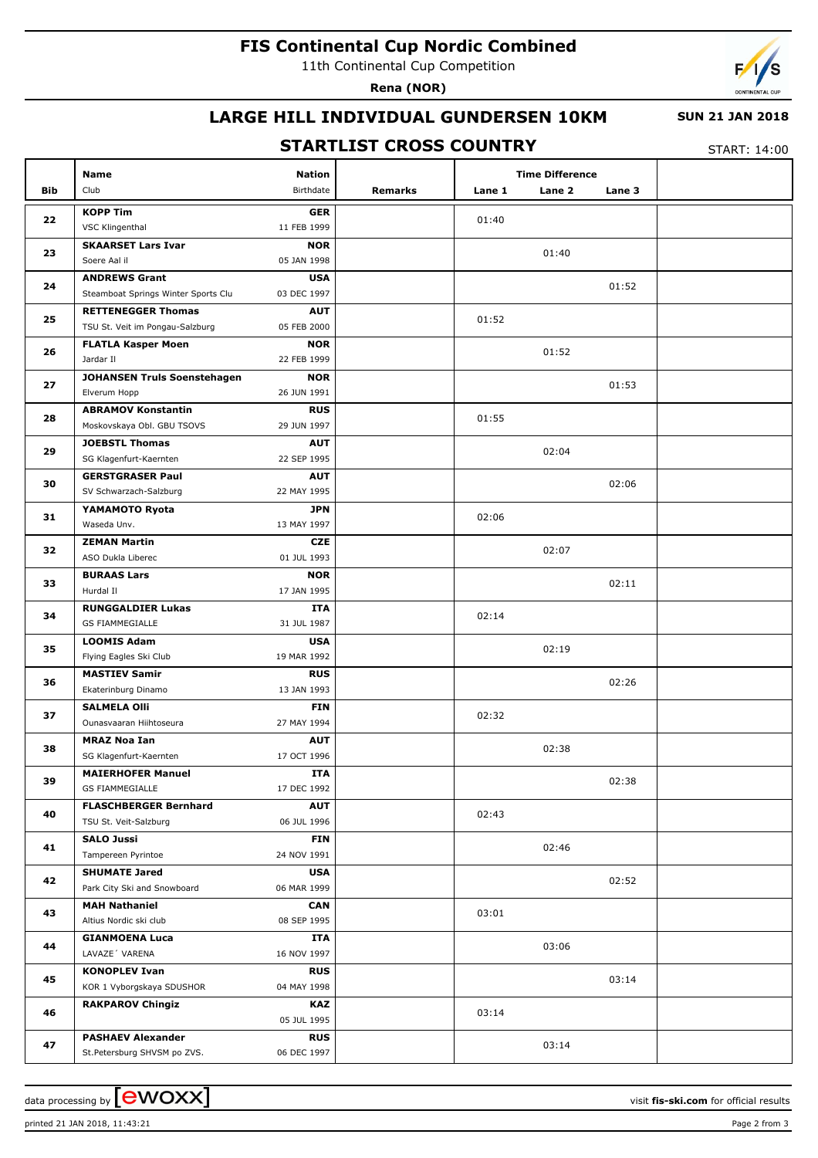# **FIS Continental Cup Nordic Combined**

11th Continental Cup Competition

**Rena (NOR)**



## **LARGE HILL INDIVIDUAL GUNDERSEN 10KM**

#### **SUN 21 JAN 2018**

## **STARTLIST CROSS COUNTRY**

START: 14:00

|     | Name                                                    | <b>Nation</b>             |         |        | <b>Time Difference</b> |        |  |
|-----|---------------------------------------------------------|---------------------------|---------|--------|------------------------|--------|--|
| Bib | Club                                                    | Birthdate                 | Remarks | Lane 1 | Lane 2                 | Lane 3 |  |
|     | <b>KOPP Tim</b>                                         | <b>GER</b>                |         |        |                        |        |  |
| 22  | VSC Klingenthal                                         | 11 FEB 1999               |         | 01:40  |                        |        |  |
|     | <b>SKAARSET Lars Ivar</b>                               | <b>NOR</b>                |         |        |                        |        |  |
| 23  | Soere Aal il                                            | 05 JAN 1998               |         |        | 01:40                  |        |  |
|     | <b>ANDREWS Grant</b>                                    | <b>USA</b>                |         |        |                        |        |  |
| 24  | Steamboat Springs Winter Sports Clu                     | 03 DEC 1997               |         |        |                        | 01:52  |  |
| 25  | <b>RETTENEGGER Thomas</b>                               | <b>AUT</b>                |         | 01:52  |                        |        |  |
|     | TSU St. Veit im Pongau-Salzburg                         | 05 FEB 2000               |         |        |                        |        |  |
| 26  | <b>FLATLA Kasper Moen</b>                               | <b>NOR</b>                |         |        | 01:52                  |        |  |
|     | Jardar II                                               | 22 FEB 1999               |         |        |                        |        |  |
| 27  | JOHANSEN Truls Soenstehagen                             | <b>NOR</b>                |         |        |                        | 01:53  |  |
|     | Elverum Hopp                                            | 26 JUN 1991               |         |        |                        |        |  |
| 28  | <b>ABRAMOV Konstantin</b><br>Moskovskaya Obl. GBU TSOVS | <b>RUS</b><br>29 JUN 1997 |         | 01:55  |                        |        |  |
|     | <b>JOEBSTL Thomas</b>                                   | <b>AUT</b>                |         |        |                        |        |  |
| 29  | SG Klagenfurt-Kaernten                                  | 22 SEP 1995               |         |        | 02:04                  |        |  |
|     | <b>GERSTGRASER Paul</b>                                 | <b>AUT</b>                |         |        |                        |        |  |
| 30  | SV Schwarzach-Salzburg                                  | 22 MAY 1995               |         |        |                        | 02:06  |  |
|     | YAMAMOTO Ryota                                          | JPN                       |         |        |                        |        |  |
| 31  | Waseda Unv.                                             | 13 MAY 1997               |         | 02:06  |                        |        |  |
| 32  | <b>ZEMAN Martin</b>                                     | CZE                       |         |        | 02:07                  |        |  |
|     | ASO Dukla Liberec                                       | 01 JUL 1993               |         |        |                        |        |  |
| 33  | <b>BURAAS Lars</b>                                      | <b>NOR</b>                |         |        |                        | 02:11  |  |
|     | Hurdal II                                               | 17 JAN 1995               |         |        |                        |        |  |
| 34  | <b>RUNGGALDIER Lukas</b><br><b>GS FIAMMEGIALLE</b>      | ITA<br>31 JUL 1987        |         | 02:14  |                        |        |  |
|     | <b>LOOMIS Adam</b>                                      | <b>USA</b>                |         |        |                        |        |  |
| 35  | Flying Eagles Ski Club                                  | 19 MAR 1992               |         |        | 02:19                  |        |  |
|     | <b>MASTIEV Samir</b>                                    | <b>RUS</b>                |         |        |                        |        |  |
| 36  | Ekaterinburg Dinamo                                     | 13 JAN 1993               |         |        |                        | 02:26  |  |
|     | <b>SALMELA Olli</b>                                     | <b>FIN</b>                |         |        |                        |        |  |
| 37  | Ounasvaaran Hiihtoseura                                 | 27 MAY 1994               |         | 02:32  |                        |        |  |
| 38  | <b>MRAZ Noa Ian</b>                                     | <b>AUT</b>                |         |        | 02:38                  |        |  |
|     | SG Klagenfurt-Kaernten                                  | 17 OCT 1996               |         |        |                        |        |  |
| 39  | <b>MAIERHOFER Manuel</b>                                | <b>ITA</b>                |         |        |                        | 02:38  |  |
|     | <b>GS FIAMMEGIALLE</b>                                  | 17 DEC 1992               |         |        |                        |        |  |
| 40  | <b>FLASCHBERGER Bernhard</b><br>TSU St. Veit-Salzburg   | <b>AUT</b>                |         | 02:43  |                        |        |  |
|     | <b>SALO Jussi</b>                                       | 06 JUL 1996<br><b>FIN</b> |         |        |                        |        |  |
| 41  | Tampereen Pyrintoe                                      | 24 NOV 1991               |         |        | 02:46                  |        |  |
|     | <b>SHUMATE Jared</b>                                    | <b>USA</b>                |         |        |                        |        |  |
| 42  | Park City Ski and Snowboard                             | 06 MAR 1999               |         |        |                        | 02:52  |  |
| 43  | <b>MAH Nathaniel</b>                                    | CAN                       |         |        |                        |        |  |
|     | Altius Nordic ski club                                  | 08 SEP 1995               |         | 03:01  |                        |        |  |
| 44  | <b>GIANMOENA Luca</b>                                   | ITA                       |         |        | 03:06                  |        |  |
|     | LAVAZE' VARENA                                          | 16 NOV 1997               |         |        |                        |        |  |
| 45  | <b>KONOPLEV Ivan</b>                                    | <b>RUS</b>                |         |        |                        | 03:14  |  |
|     | KOR 1 Vyborgskaya SDUSHOR                               | 04 MAY 1998               |         |        |                        |        |  |
| 46  | <b>RAKPAROV Chingiz</b>                                 | KAZ                       |         | 03:14  |                        |        |  |
|     |                                                         | 05 JUL 1995               |         |        |                        |        |  |
| 47  | <b>PASHAEV Alexander</b>                                | <b>RUS</b>                |         |        | 03:14                  |        |  |
|     | St.Petersburg SHVSM po ZVS.                             | 06 DEC 1997               |         |        |                        |        |  |

data processing by **CWOXX** and  $\overline{A}$  wisit **fis-ski.com** for official results

printed 21 JAN 2018, 11:43:21 Page 2 from 3